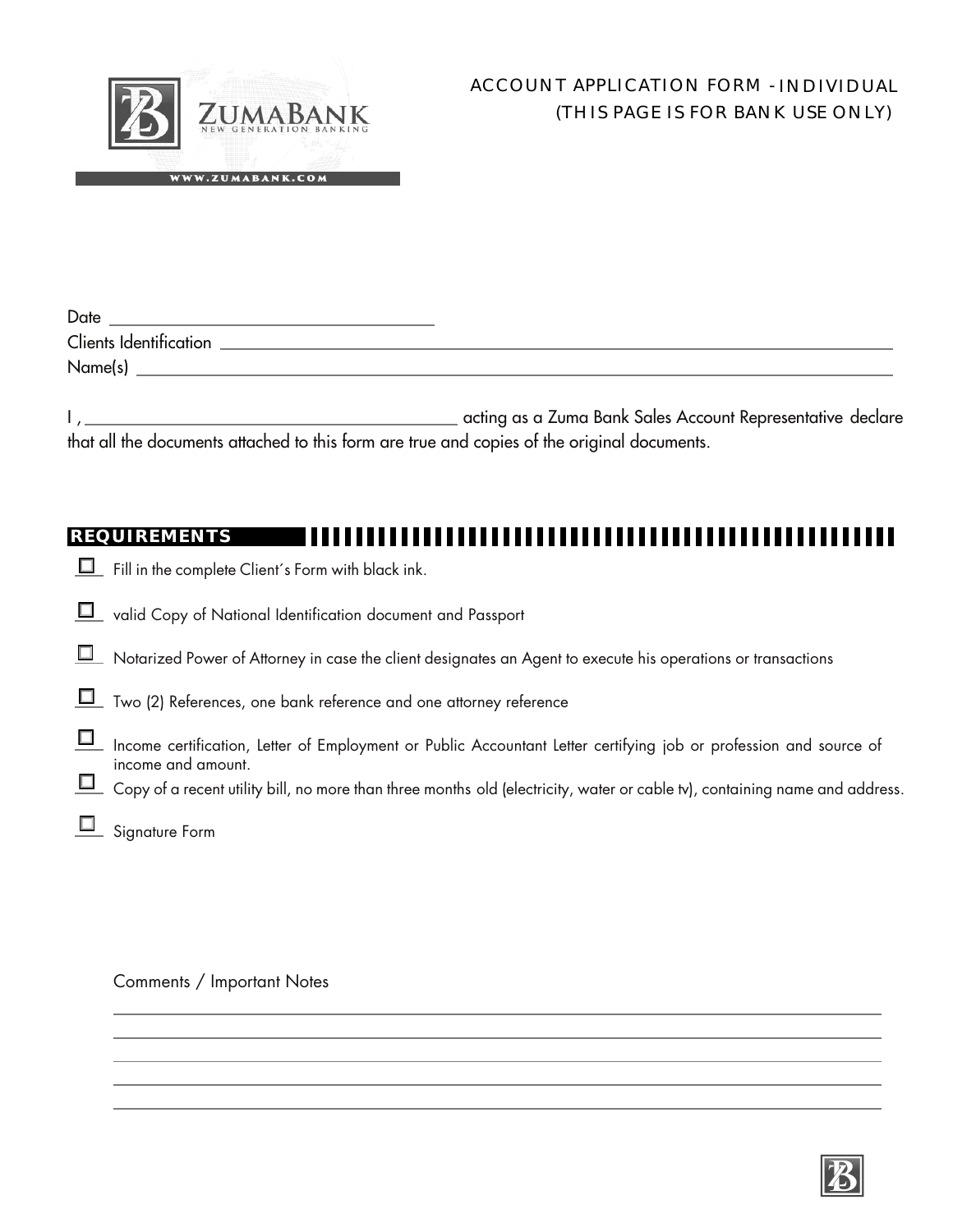

| Date                   |  |
|------------------------|--|
| Clients Identification |  |
| Name(s)                |  |

| acting as a Zuma Bank Sales Account Representative declare                                  |  |
|---------------------------------------------------------------------------------------------|--|
| that all the documents attached to this form are true and copies of the original documents. |  |

## **REQUIREMENTS**

- $\Box$  Fill in the complete Client's Form with black ink.
- U valid Copy of National Identification document and Passport
- Notarized Power of Attorney in case the client designates an Agent to execute his operations or transactions
- Two (2) References, one bank reference and one attorney reference
- Income certification, Letter of Employment or Public Accountant Letter certifying job or profession and source of income and amount.
- $\Box$  Copy of a recent utility bill, no more than three months old (electricity, water or cable tv), containing name and address.
- **D** Signature Form

Comments / Important Notes

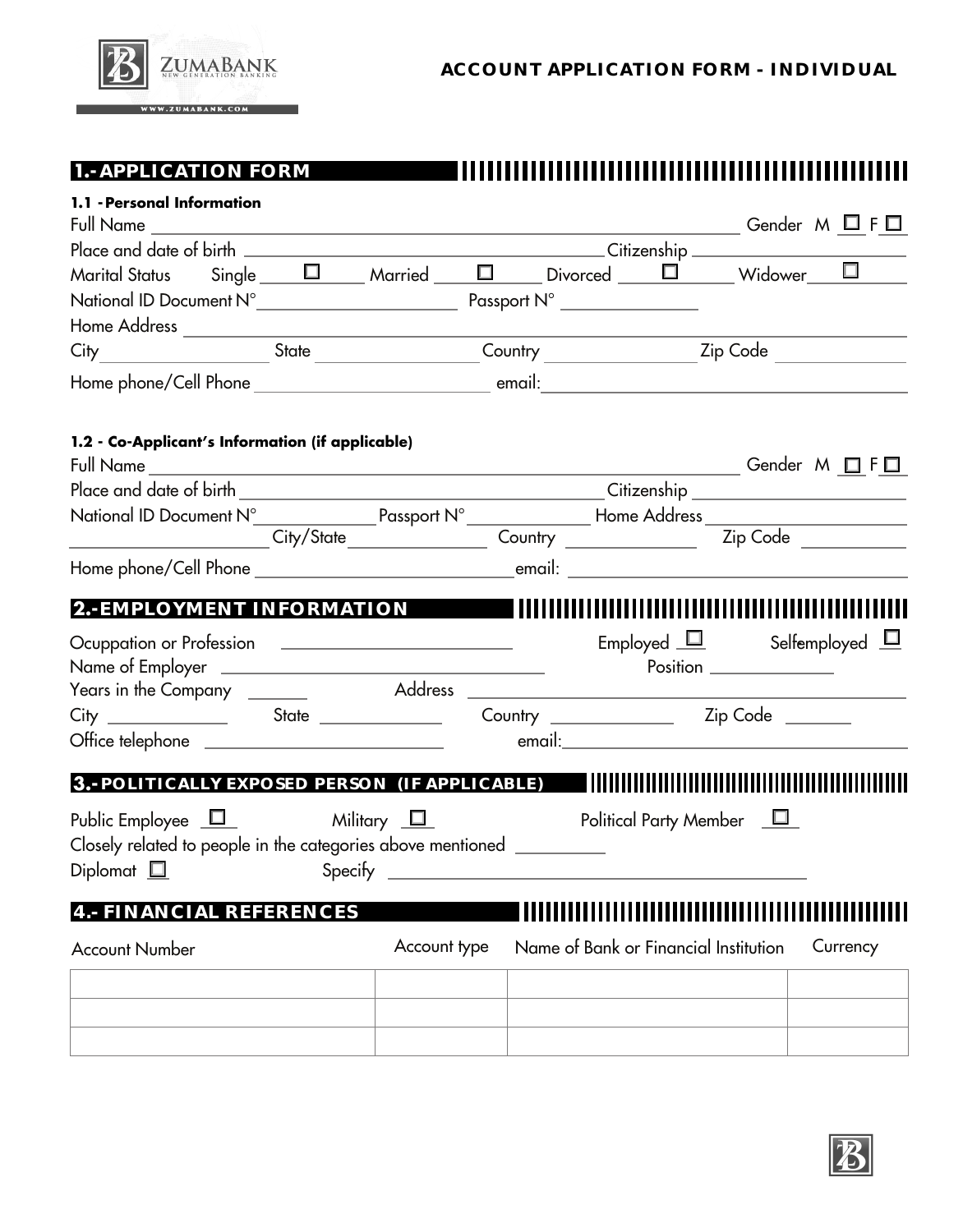

**1.-APPLICATION FORM** 

## 

| 1.1 - Personal Information                                                                                                                                                                                                     |              |  |                                       |                                                                                                                                                                                                                                |          |
|--------------------------------------------------------------------------------------------------------------------------------------------------------------------------------------------------------------------------------|--------------|--|---------------------------------------|--------------------------------------------------------------------------------------------------------------------------------------------------------------------------------------------------------------------------------|----------|
|                                                                                                                                                                                                                                |              |  |                                       |                                                                                                                                                                                                                                |          |
| Marital Status Single $\Box$ Married $\Box$ Divorced $\Box$ Widower $\Box$                                                                                                                                                     |              |  |                                       |                                                                                                                                                                                                                                |          |
|                                                                                                                                                                                                                                |              |  |                                       |                                                                                                                                                                                                                                |          |
|                                                                                                                                                                                                                                |              |  |                                       |                                                                                                                                                                                                                                |          |
| City_____________________State _________________Country __________________Zip Code _________________                                                                                                                           |              |  |                                       |                                                                                                                                                                                                                                |          |
|                                                                                                                                                                                                                                |              |  |                                       |                                                                                                                                                                                                                                |          |
| 1.2 - Co-Applicant's Information (if applicable)                                                                                                                                                                               |              |  |                                       |                                                                                                                                                                                                                                |          |
|                                                                                                                                                                                                                                |              |  |                                       | └─── Gender M □ F□                                                                                                                                                                                                             |          |
|                                                                                                                                                                                                                                |              |  |                                       |                                                                                                                                                                                                                                |          |
| National ID Document N° Passport N° Passport N° Passport N° Passport N° Passport N° Passport N° Passport N° Passport N° Passport N° Passport N° Passport N° Passport N° Passport N° Passport N° Passport N° Passa et al. 21 a. |              |  |                                       |                                                                                                                                                                                                                                |          |
|                                                                                                                                                                                                                                |              |  |                                       |                                                                                                                                                                                                                                |          |
| 2.-EMPLOYMENT INFORMATION <b>WE ARE AN IMMILIAR THAT AND ALL PROPERTY OF A SET OF A SET OF A SET OF A SET OF A S</b>                                                                                                           |              |  |                                       |                                                                                                                                                                                                                                |          |
|                                                                                                                                                                                                                                |              |  |                                       | Employed $\Box$ Selfemployed $\Box$                                                                                                                                                                                            |          |
|                                                                                                                                                                                                                                |              |  |                                       |                                                                                                                                                                                                                                |          |
|                                                                                                                                                                                                                                |              |  |                                       | email: email: email: email: email: email: email: email: email: email: email: email: email: email: email: email: email: email: email: email: email: email: email: email: email: email: email: email: email: email: email: email |          |
| 3.- POLITICALLY EXPOSED PERSON (IF APPLICABLE)                                                                                                                                                                                 |              |  |                                       |                                                                                                                                                                                                                                |          |
| Public Employee $\Box$ Military $\Box$ Political Party Member $\Box$<br>Closely related to people in the categories above mentioned __________<br>Diplomat $\square$                                                           |              |  |                                       |                                                                                                                                                                                                                                |          |
| 4.- FINANCIAL REFERENCES                                                                                                                                                                                                       |              |  |                                       |                                                                                                                                                                                                                                |          |
| <b>Account Number</b>                                                                                                                                                                                                          | Account type |  | Name of Bank or Financial Institution |                                                                                                                                                                                                                                | Currency |
|                                                                                                                                                                                                                                |              |  |                                       |                                                                                                                                                                                                                                |          |
|                                                                                                                                                                                                                                |              |  |                                       |                                                                                                                                                                                                                                |          |
|                                                                                                                                                                                                                                |              |  |                                       |                                                                                                                                                                                                                                |          |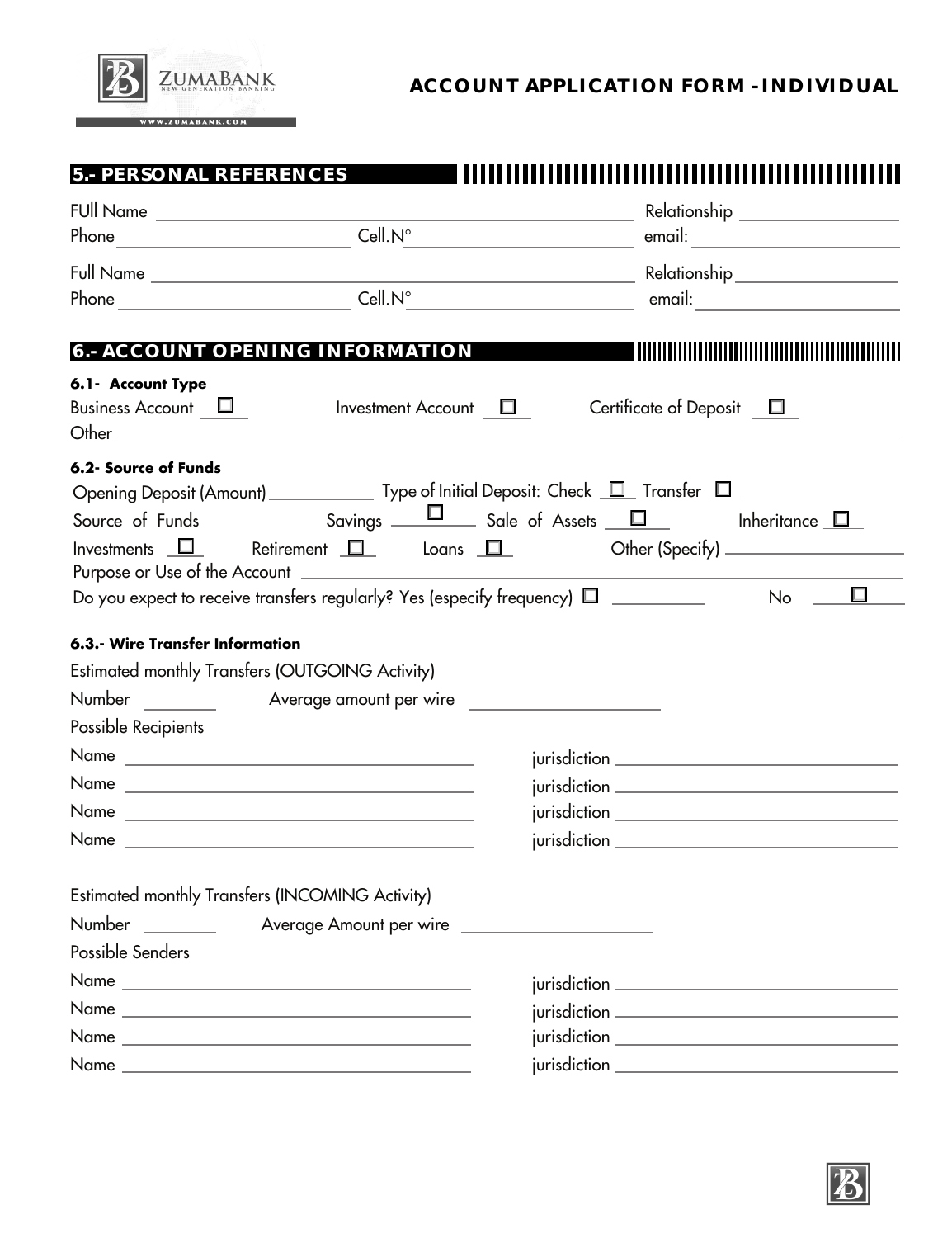

## **ACCOUNT APPLICATION FORM - INDIVIDUAL**

| 5.- PERSONAL REFERENCES                                                                                                                                                                                                                                                                                                                      |                                  |
|----------------------------------------------------------------------------------------------------------------------------------------------------------------------------------------------------------------------------------------------------------------------------------------------------------------------------------------------|----------------------------------|
|                                                                                                                                                                                                                                                                                                                                              | Relationship ___________________ |
|                                                                                                                                                                                                                                                                                                                                              |                                  |
|                                                                                                                                                                                                                                                                                                                                              |                                  |
| $\begin{picture}(150,10) \put(0,0){\line(1,0){100}} \put(15,0){\line(1,0){100}} \put(15,0){\line(1,0){100}} \put(15,0){\line(1,0){100}} \put(15,0){\line(1,0){100}} \put(15,0){\line(1,0){100}} \put(15,0){\line(1,0){100}} \put(15,0){\line(1,0){100}} \put(15,0){\line(1,0){100}} \put(15,0){\line(1,0){100}} \put(15,0){\line(1,0){100}}$ |                                  |
| 6.- ACCOUNT OPENING INFORMATION                                                                                                                                                                                                                                                                                                              | <b>THEFT I</b>                   |
| 6.1- Account Type                                                                                                                                                                                                                                                                                                                            |                                  |
| Business Account $\Box$ Investment Account $\Box$<br>Other <u>the contract of the contract of the contract of the contract of the contract of the contract of the contract of the contract of the contract of the contract of the contract of the contract of the contract of the con</u>                                                    | Certificate of Deposit $\Box$    |
| 6.2- Source of Funds                                                                                                                                                                                                                                                                                                                         |                                  |
| Opening Deposit (Amount) _________________ Type of Initial Deposit: Check ________ Transfer ___                                                                                                                                                                                                                                              |                                  |
| Source of Funds Savings $\Box$ Sale of Assets $\Box$ Inheritance $\Box$                                                                                                                                                                                                                                                                      |                                  |
| Investments $\Box$ Retirement $\Box$ Loans $\Box$ Other (Specify) _______________                                                                                                                                                                                                                                                            |                                  |
|                                                                                                                                                                                                                                                                                                                                              |                                  |
|                                                                                                                                                                                                                                                                                                                                              |                                  |
| 6.3.- Wire Transfer Information                                                                                                                                                                                                                                                                                                              |                                  |
| Estimated monthly Transfers (OUTGOING Activity)                                                                                                                                                                                                                                                                                              |                                  |
|                                                                                                                                                                                                                                                                                                                                              |                                  |
| Possible Recipients                                                                                                                                                                                                                                                                                                                          |                                  |
|                                                                                                                                                                                                                                                                                                                                              |                                  |
|                                                                                                                                                                                                                                                                                                                                              |                                  |
|                                                                                                                                                                                                                                                                                                                                              |                                  |
|                                                                                                                                                                                                                                                                                                                                              |                                  |
| Estimated monthly Transfers (INCOMING Activity)                                                                                                                                                                                                                                                                                              |                                  |
|                                                                                                                                                                                                                                                                                                                                              |                                  |
| Possible Senders                                                                                                                                                                                                                                                                                                                             |                                  |
|                                                                                                                                                                                                                                                                                                                                              |                                  |
|                                                                                                                                                                                                                                                                                                                                              |                                  |
|                                                                                                                                                                                                                                                                                                                                              |                                  |
|                                                                                                                                                                                                                                                                                                                                              |                                  |
|                                                                                                                                                                                                                                                                                                                                              |                                  |